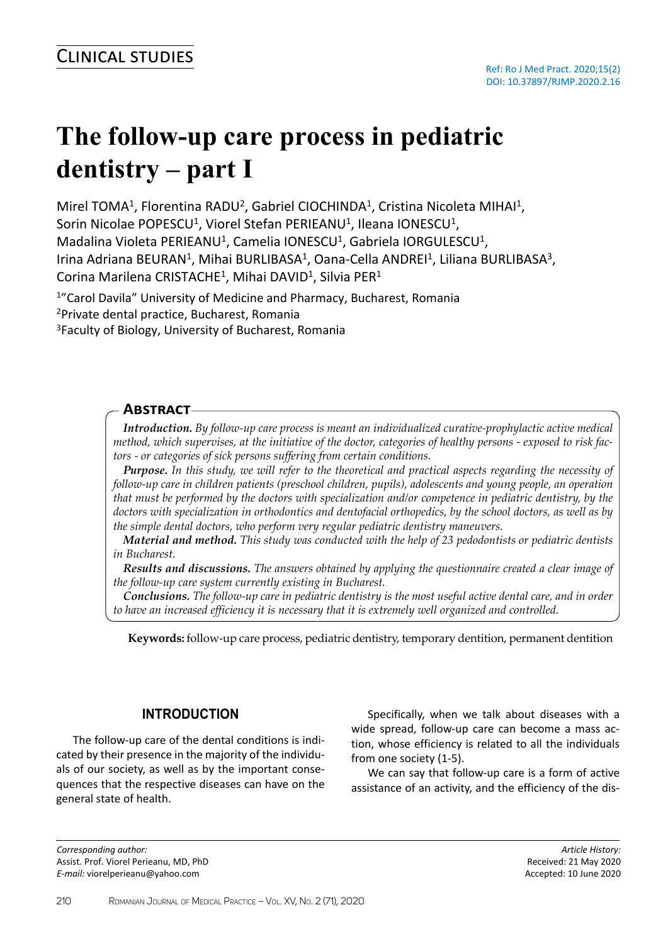# **The follow-up care process in pediatric dentistry – part I**

Mirel TOMA<sup>1</sup>, Florentina RADU<sup>2</sup>, Gabriel CIOCHINDA<sup>1</sup>, Cristina Nicoleta MIHAI<sup>1</sup>, Sorin Nicolae POPESCU<sup>1</sup>, Viorel Stefan PERIEANU<sup>1</sup>, Ileana IONESCU<sup>1</sup>, Madalina Violeta PERIEANU<sup>1</sup>, Camelia IONESCU<sup>1</sup>, Gabriela IORGULESCU<sup>1</sup>, Irina Adriana BEURAN<sup>1</sup>, Mihai BURLIBASA<sup>1</sup>, Oana-Cella ANDREI<sup>1</sup>, Liliana BURLIBASA<sup>3</sup>, Corina Marilena CRISTACHE<sup>1</sup>, Mihai DAVID<sup>1</sup>, Silvia PER<sup>1</sup>

<sup>1</sup>"Carol Davila" University of Medicine and Pharmacy, Bucharest, Romania

<sup>2</sup>Private dental practice, Bucharest, Romania

<sup>3</sup>Faculty of Biology, University of Bucharest, Romania

## **Abstract**

*Introduction. By follow-up care process is meant an individualized curative-prophylactic active medical method, which supervises, at the initiative of the doctor, categories of healthy persons - exposed to risk factors - or categories of sick persons suffering from certain conditions.*

*Purpose. In this study, we will refer to the theoretical and practical aspects regarding the necessity of follow-up care in children patients (preschool children, pupils), adolescents and young people, an operation that must be performed by the doctors with specialization and/or competence in pediatric dentistry, by the doctors with specialization in orthodontics and dentofacial orthopedics, by the school doctors, as well as by the simple dental doctors, who perform very regular pediatric dentistry maneuvers.*

*Material and method. This study was conducted with the help of 23 pedodontists or pediatric dentists in Bucharest.*

*Results and discussions. The answers obtained by applying the questionnaire created a clear image of the follow-up care system currently existing in Bucharest.*

*Conclusions. The follow-up care in pediatric dentistry is the most useful active dental care, and in order to have an increased efficiency it is necessary that it is extremely well organized and controlled.*

**Keywords:** follow-up care process, pediatric dentistry, temporary dentition, permanent dentition

# **INTRODUCTION**

The follow-up care of the dental conditions is indicated by their presence in the majority of the individuals of our society, as well as by the important consequences that the respective diseases can have on the general state of health.

*Corresponding author:* Assist. Prof. Viorel Perieanu, MD, PhD *E-mail:* viorelperieanu@yahoo.com

Specifically, when we talk about diseases with a wide spread, follow-up care can become a mass action, whose efficiency is related to all the individuals from one society (1-5).

We can say that follow-up care is a form of active assistance of an activity, and the efficiency of the dis-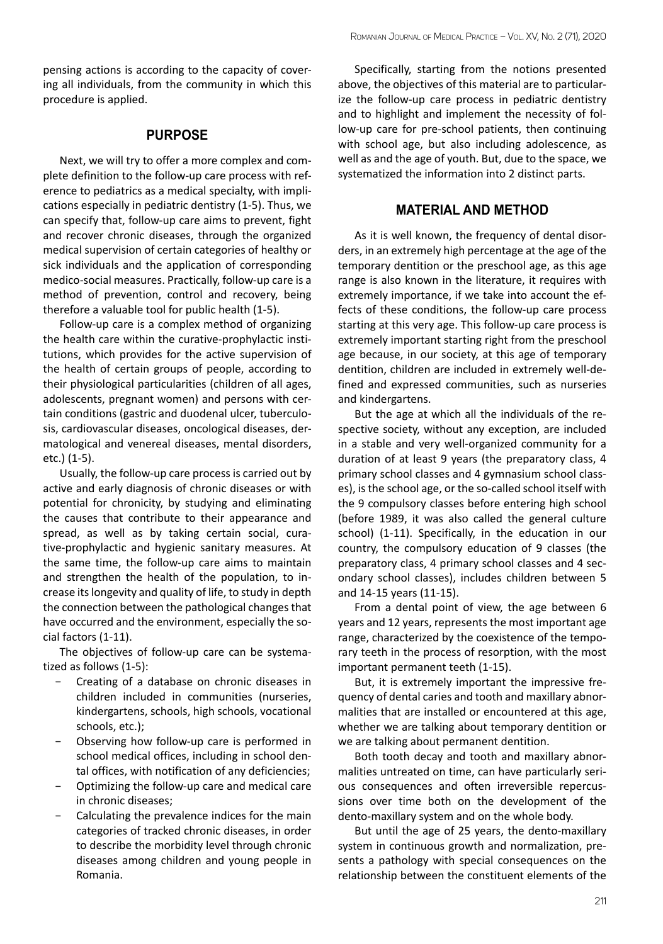## **PURPOSE**

Next, we will try to offer a more complex and complete definition to the follow-up care process with reference to pediatrics as a medical specialty, with implications especially in pediatric dentistry (1-5). Thus, we can specify that, follow-up care aims to prevent, fight and recover chronic diseases, through the organized medical supervision of certain categories of healthy or sick individuals and the application of corresponding medico-social measures. Practically, follow-up care is a method of prevention, control and recovery, being therefore a valuable tool for public health (1-5).

Follow-up care is a complex method of organizing the health care within the curative-prophylactic institutions, which provides for the active supervision of the health of certain groups of people, according to their physiological particularities (children of all ages, adolescents, pregnant women) and persons with certain conditions (gastric and duodenal ulcer, tuberculosis, cardiovascular diseases, oncological diseases, dermatological and venereal diseases, mental disorders, etc.) (1-5).

Usually, the follow-up care process is carried out by active and early diagnosis of chronic diseases or with potential for chronicity, by studying and eliminating the causes that contribute to their appearance and spread, as well as by taking certain social, curative-prophylactic and hygienic sanitary measures. At the same time, the follow-up care aims to maintain and strengthen the health of the population, to increase its longevity and quality of life, to study in depth the connection between the pathological changes that have occurred and the environment, especially the social factors (1-11).

The objectives of follow-up care can be systematized as follows (1-5):

- − Creating of a database on chronic diseases in children included in communities (nurseries, kindergartens, schools, high schools, vocational schools, etc.);
- − Observing how follow-up care is performed in school medical offices, including in school dental offices, with notification of any deficiencies;
- − Optimizing the follow-up care and medical care in chronic diseases;
- Calculating the prevalence indices for the main categories of tracked chronic diseases, in order to describe the morbidity level through chronic diseases among children and young people in Romania.

Specifically, starting from the notions presented above, the objectives of this material are to particularize the follow-up care process in pediatric dentistry and to highlight and implement the necessity of follow-up care for pre-school patients, then continuing with school age, but also including adolescence, as well as and the age of youth. But, due to the space, we systematized the information into 2 distinct parts.

## **MATERIAL AND METHOD**

As it is well known, the frequency of dental disorders, in an extremely high percentage at the age of the temporary dentition or the preschool age, as this age range is also known in the literature, it requires with extremely importance, if we take into account the effects of these conditions, the follow-up care process starting at this very age. This follow-up care process is extremely important starting right from the preschool age because, in our society, at this age of temporary dentition, children are included in extremely well-defined and expressed communities, such as nurseries and kindergartens.

But the age at which all the individuals of the respective society, without any exception, are included in a stable and very well-organized community for a duration of at least 9 years (the preparatory class, 4 primary school classes and 4 gymnasium school classes), is the school age, or the so-called school itself with the 9 compulsory classes before entering high school (before 1989, it was also called the general culture school) (1-11). Specifically, in the education in our country, the compulsory education of 9 classes (the preparatory class, 4 primary school classes and 4 secondary school classes), includes children between 5 and 14-15 years (11-15).

From a dental point of view, the age between 6 years and 12 years, represents the most important age range, characterized by the coexistence of the temporary teeth in the process of resorption, with the most important permanent teeth (1-15).

But, it is extremely important the impressive frequency of dental caries and tooth and maxillary abnormalities that are installed or encountered at this age, whether we are talking about temporary dentition or we are talking about permanent dentition.

Both tooth decay and tooth and maxillary abnormalities untreated on time, can have particularly serious consequences and often irreversible repercussions over time both on the development of the dento-maxillary system and on the whole body.

But until the age of 25 years, the dento-maxillary system in continuous growth and normalization, presents a pathology with special consequences on the relationship between the constituent elements of the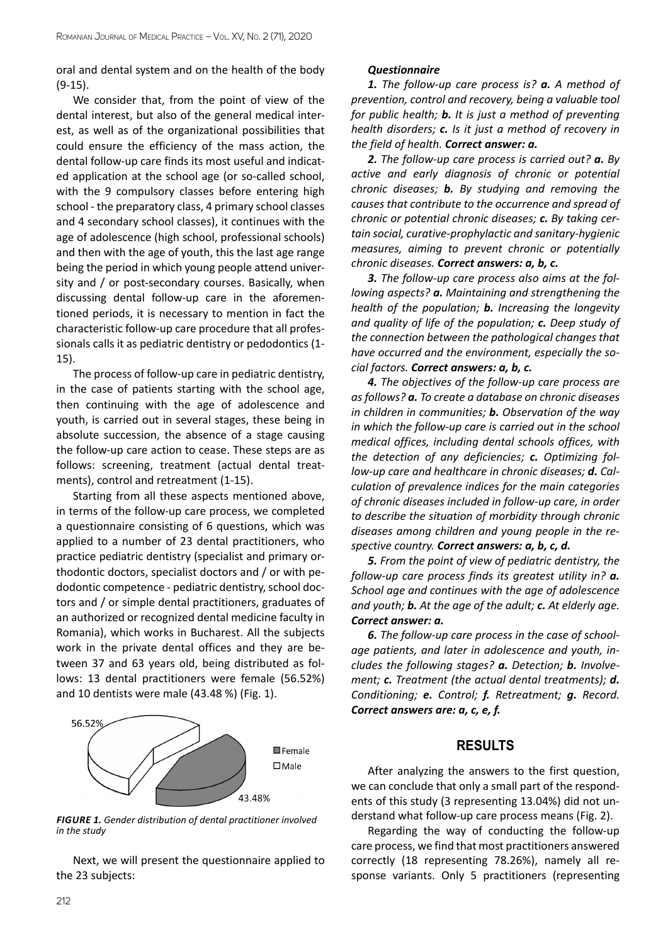oral and dental system and on the health of the body (9-15).

We consider that, from the point of view of the dental interest, but also of the general medical interest, as well as of the organizational possibilities that could ensure the efficiency of the mass action, the dental follow-up care finds its most useful and indicated application at the school age (or so-called school, with the 9 compulsory classes before entering high school - the preparatory class, 4 primary school classes and 4 secondary school classes), it continues with the age of adolescence (high school, professional schools) and then with the age of youth, this the last age range being the period in which young people attend university and / or post-secondary courses. Basically, when discussing dental follow-up care in the aforementioned periods, it is necessary to mention in fact the characteristic follow-up care procedure that all professionals calls it as pediatric dentistry or pedodontics (1- 15).

The process of follow-up care in pediatric dentistry, in the case of patients starting with the school age, then continuing with the age of adolescence and youth, is carried out in several stages, these being in absolute succession, the absence of a stage causing the follow-up care action to cease. These steps are as follows: screening, treatment (actual dental treatments), control and retreatment (1-15).

Starting from all these aspects mentioned above, in terms of the follow-up care process, we completed a questionnaire consisting of 6 questions, which was applied to a number of 23 dental practitioners, who practice pediatric dentistry (specialist and primary orthodontic doctors, specialist doctors and / or with pedodontic competence - pediatric dentistry, school doctors and / or simple dental practitioners, graduates of an authorized or recognized dental medicine faculty in Romania), which works in Bucharest. All the subjects work in the private dental offices and they are between 37 and 63 years old, being distributed as follows: 13 dental practitioners were female (56.52%) and 10 dentists were male (43.48 %) (Fig. 1).



*FIGURE 1. Gender distribution of dental practitioner involved in the study*

Next, we will present the questionnaire applied to the 23 subjects:

#### *Questionnaire*

*1. The follow-up care process is? a. A method of prevention, control and recovery, being a valuable tool for public health; b. It is just a method of preventing health disorders; c. Is it just a method of recovery in the field of health. Correct answer: a.*

*2. The follow-up care process is carried out? a. By active and early diagnosis of chronic or potential chronic diseases; b. By studying and removing the causes that contribute to the occurrence and spread of chronic or potential chronic diseases; c. By taking certain social, curative-prophylactic and sanitary-hygienic measures, aiming to prevent chronic or potentially chronic diseases. Correct answers: a, b, c.*

*3. The follow-up care process also aims at the following aspects? a. Maintaining and strengthening the health of the population; b. Increasing the longevity and quality of life of the population; c. Deep study of the connection between the pathological changes that have occurred and the environment, especially the social factors. Correct answers: a, b, c.*

*4. The objectives of the follow-up care process are as follows? a. To create a database on chronic diseases in children in communities; b. Observation of the way in which the follow-up care is carried out in the school medical offices, including dental schools offices, with the detection of any deficiencies; c. Optimizing follow-up care and healthcare in chronic diseases; d. Calculation of prevalence indices for the main categories of chronic diseases included in follow-up care, in order to describe the situation of morbidity through chronic diseases among children and young people in the respective country. Correct answers: a, b, c, d.*

*5. From the point of view of pediatric dentistry, the follow-up care process finds its greatest utility in? a. School age and continues with the age of adolescence and youth; b. At the age of the adult; c. At elderly age. Correct answer: a.*

*6. The follow-up care process in the case of schoolage patients, and later in adolescence and youth, includes the following stages? a. Detection; b. Involvement; c. Treatment (the actual dental treatments); d. Conditioning; e. Control; f. Retreatment; g. Record. Correct answers are: a, c, e, f.*

#### **RESULTS**

After analyzing the answers to the first question, we can conclude that only a small part of the respondents of this study (3 representing 13.04%) did not understand what follow-up care process means (Fig. 2).

Regarding the way of conducting the follow-up care process, we find that most practitioners answered correctly (18 representing 78.26%), namely all response variants. Only 5 practitioners (representing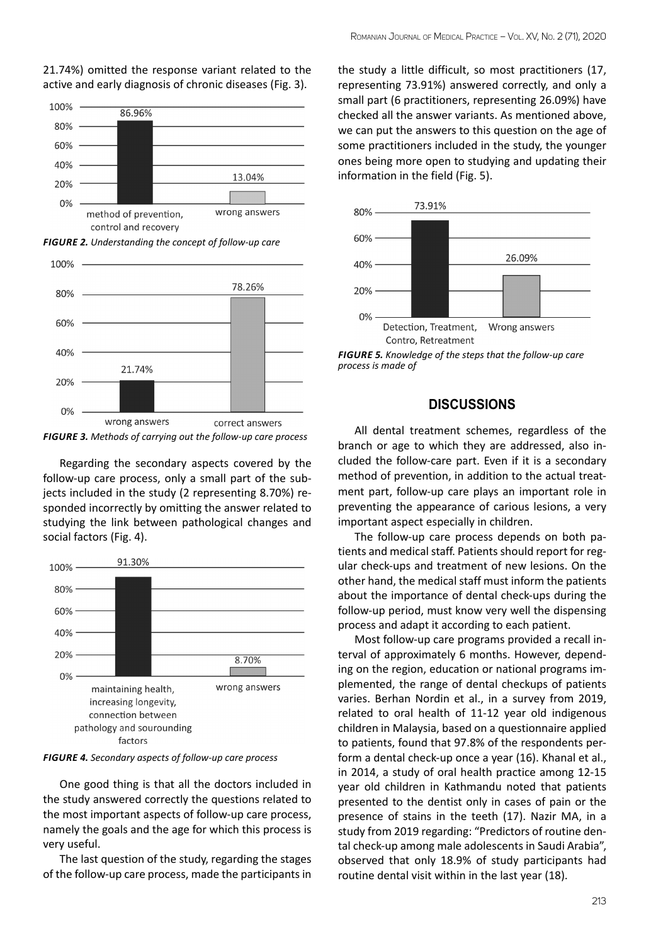

21.74%) omitted the response variant related to the active and early diagnosis of chronic diseases (Fig. 3).



*FIGURE 2. Understanding the concept of follow-up care*

*FIGURE 3. Methods of carrying out the follow-up care process*

Regarding the secondary aspects covered by the follow-up care process, only a small part of the subjects included in the study (2 representing 8.70%) responded incorrectly by omitting the answer related to studying the link between pathological changes and social factors (Fig. 4).



*FIGURE 4. Secondary aspects of follow-up care process*

One good thing is that all the doctors included in the study answered correctly the questions related to the most important aspects of follow-up care process, namely the goals and the age for which this process is very useful.

The last question of the study, regarding the stages of the follow-up care process, made the participants in the study a little difficult, so most practitioners (17, representing 73.91%) answered correctly, and only a small part (6 practitioners, representing 26.09%) have checked all the answer variants. As mentioned above, we can put the answers to this question on the age of some practitioners included in the study, the younger ones being more open to studying and updating their information in the field (Fig. 5).



*FIGURE 5. Knowledge of the steps that the follow-up care process is made of*

### **DISCUSSIONS**

All dental treatment schemes, regardless of the branch or age to which they are addressed, also included the follow-care part. Even if it is a secondary method of prevention, in addition to the actual treatment part, follow-up care plays an important role in preventing the appearance of carious lesions, a very important aspect especially in children.

The follow-up care process depends on both patients and medical staff. Patients should report for regular check-ups and treatment of new lesions. On the other hand, the medical staff must inform the patients about the importance of dental check-ups during the follow-up period, must know very well the dispensing process and adapt it according to each patient.

Most follow-up care programs provided a recall interval of approximately 6 months. However, depending on the region, education or national programs implemented, the range of dental checkups of patients varies. Berhan Nordin et al., in a survey from 2019, related to oral health of 11-12 year old indigenous children in Malaysia, based on a questionnaire applied to patients, found that 97.8% of the respondents perform a dental check-up once a year (16). Khanal et al., in 2014, a study of oral health practice among 12-15 year old children in Kathmandu noted that patients presented to the dentist only in cases of pain or the presence of stains in the teeth (17). Nazir MA, in a study from 2019 regarding: "Predictors of routine dental check-up among male adolescents in Saudi Arabia", observed that only 18.9% of study participants had routine dental visit within in the last year (18).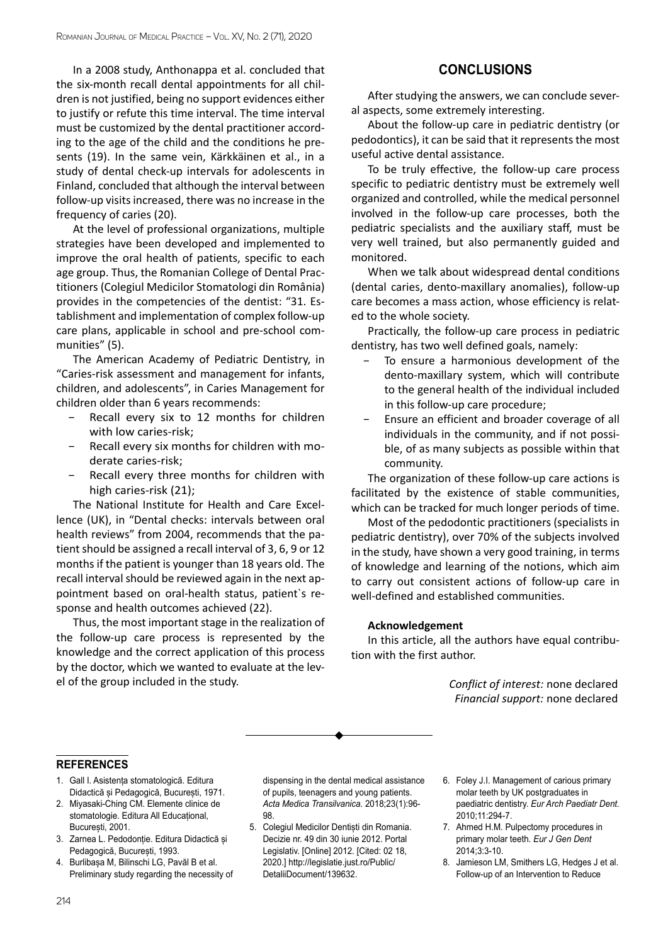In a 2008 study, Anthonappa et al. concluded that the six-month recall dental appointments for all children is not justified, being no support evidences either to justify or refute this time interval. The time interval must be customized by the dental practitioner according to the age of the child and the conditions he presents (19). In the same vein, Kärkkäinen et al., in a study of dental check-up intervals for adolescents in Finland, concluded that although the interval between follow-up visits increased, there was no increase in the frequency of caries (20).

At the level of professional organizations, multiple strategies have been developed and implemented to improve the oral health of patients, specific to each age group. Thus, the Romanian College of Dental Practitioners (Colegiul Medicilor Stomatologi din România) provides in the competencies of the dentist: "31. Establishment and implementation of complex follow-up care plans, applicable in school and pre-school communities" (5).

The American Academy of Pediatric Dentistry, in "Caries-risk assessment and management for infants, children, and adolescents", in Caries Management for children older than 6 years recommends:

- Recall every six to 12 months for children with low caries-risk;
- − Recall every six months for children with moderate caries-risk;
- Recall every three months for children with high caries-risk (21);

The National Institute for Health and Care Excellence (UK), in "Dental checks: intervals between oral health reviews" from 2004, recommends that the patient should be assigned a recall interval of 3, 6, 9 or 12 months if the patient is younger than 18 years old. The recall interval should be reviewed again in the next appointment based on oral-health status, patient`s response and health outcomes achieved (22).

Thus, the most important stage in the realization of the follow-up care process is represented by the knowledge and the correct application of this process by the doctor, which we wanted to evaluate at the level of the group included in the study.

## **CONCLUSIONS**

After studying the answers, we can conclude several aspects, some extremely interesting.

About the follow-up care in pediatric dentistry (or pedodontics), it can be said that it represents the most useful active dental assistance.

To be truly effective, the follow-up care process specific to pediatric dentistry must be extremely well organized and controlled, while the medical personnel involved in the follow-up care processes, both the pediatric specialists and the auxiliary staff, must be very well trained, but also permanently guided and monitored.

When we talk about widespread dental conditions (dental caries, dento-maxillary anomalies), follow-up care becomes a mass action, whose efficiency is related to the whole society.

Practically, the follow-up care process in pediatric dentistry, has two well defined goals, namely:

- To ensure a harmonious development of the dento-maxillary system, which will contribute to the general health of the individual included in this follow-up care procedure;
- Ensure an efficient and broader coverage of all individuals in the community, and if not possible, of as many subjects as possible within that community.

The organization of these follow-up care actions is facilitated by the existence of stable communities, which can be tracked for much longer periods of time.

Most of the pedodontic practitioners (specialists in pediatric dentistry), over 70% of the subjects involved in the study, have shown a very good training, in terms of knowledge and learning of the notions, which aim to carry out consistent actions of follow-up care in well-defined and established communities.

#### **Acknowledgement**

In this article, all the authors have equal contribution with the first author.

> *Conflict of interest:* none declared *Financial support:* none declared

#### **references**

- 1. Gall I. Asistența stomatologică. Editura Didactică și Pedagogică, București, 1971.
- 2. Miyasaki-Ching CM. Elemente clinice de stomatologie. Editura All Educațional, București, 2001.
- 3. Zarnea L. Pedodonție. Editura Didactică și Pedagogică, București, 1993.
- 4. Burlibașa M, Bilinschi LG, Pavăl B et al. Preliminary study regarding the necessity of

dispensing in the dental medical assistance of pupils, teenagers and young patients. *Acta Medica Transilvanica.* 2018;23(1):96- 98.

- 5. Colegiul Medicilor Dentiști din Romania. Decizie nr. 49 din 30 iunie 2012. Portal Legislativ. [Online] 2012. [Cited: 02 18, 2020.] http://legislatie.just.ro/Public/ DetaliiDocument/139632.
- 6. Foley J.I. Management of carious primary molar teeth by UK postgraduates in paediatric dentistry. *Eur Arch Paediatr Dent.* 2010;11:294-7.
- 7. Ahmed H.M. Pulpectomy procedures in primary molar teeth. *Eur J Gen Dent* 2014;3:3-10.
- 8. Jamieson LM, Smithers LG, Hedges J et al. Follow-up of an Intervention to Reduce